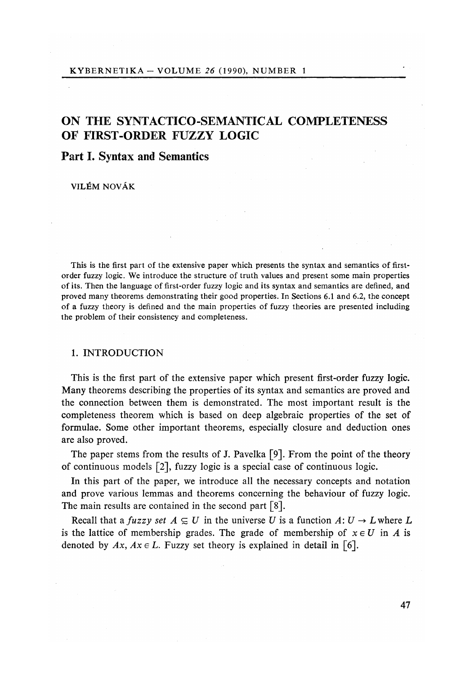# ON THE SYNTA**C**TI**C**O-SEMANTI**C**AL **C**OMPLETENESS OF FIRST-ORDER FUZZY LOGI**C**

# Pa**r**t I. Sy**n**tax a**n**d Sema**n**ti**c**s

VILEM NOVÁK

This is the first part of the extensive paper which presents the syntax and semantics of firstorder fuzzy logic. We introduce the structure of truth values and present some main properties of its. Then the language of first-order fuzzy logic and its syntax and semantics are defined, and proved many theorems demonstrating their good properties. In Sections 6.1 and 6.2, the concept of a fuzzy theory is defined and the main properties of fuzzy theories are presented including the problem of their consistency and completeness.

## 1. INTRODUCTION

This is the first part of the extensive paper which present first-order fuzzy logic. Many theorems describing the properties of its syntax and semantics are proved and the connection between them is demonstrated. The most important result is the completeness theorem which is based on deep algebraic properties of the set of formulae. Some other important theorems, especially closure and deduction ones are also proved.

The paper stems from the results of J. Pavelka [9]. From the point of the theory of continuous models [2], fuzzy logic is a special case of continuous logic.

In this part of the paper, we introduce all the necessary concepts and notation and prove various lemmas and theorems concerning the behaviour of fuzzy logic. The main results are contained in the second part [8].

Recall that a *fuzzy set*  $A \subseteq U$  in the universe *U* is a function  $A: U \to L$  where *L* is the lattice of membership grades. The grade of membership of  $x \in U$  in A is denoted by  $Ax$ ,  $Ax \in L$ . Fuzzy set theory is explained in detail in [6].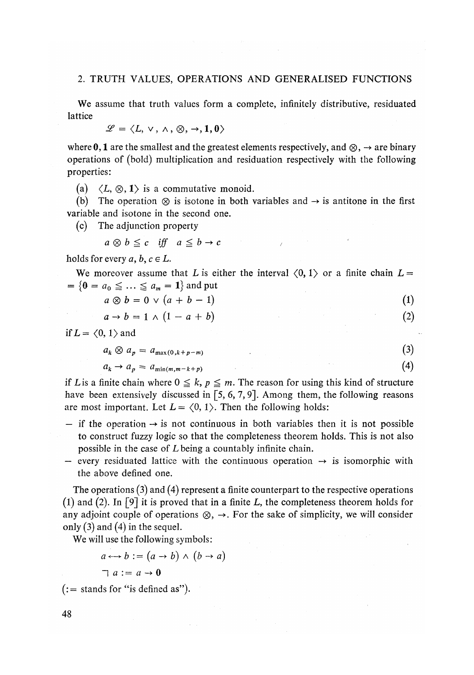## 2. TRUTH VALUES, OPERATIONS AND GENERALISED FUNCTIONS

We assume that truth values form a complete, infinitely distributive, residuated **lattice** 

$$
\mathscr{L}=\langle L,\vee,\wedge,\otimes,\rightarrow,1,0\rangle
$$

where 0, 1 are the smallest and the greatest elements respectively, and  $\otimes$ ,  $\rightarrow$  are binary operations of (bold) multiplication and residuation respectively with the following properties:

(a)  $\langle L, \otimes, 1 \rangle$  is a commutative monoid.

(b) The operation  $\otimes$  is isotone in both variables and  $\rightarrow$  is antitone in the first variable and isotone in the second one.

(c) The adjunction property

$$
a \otimes b \leq c \quad \text{iff} \quad a \leq b \to c
$$

holds for every  $a, b, c \in L$ .

We moreover assume that *L* is either the interval  $\langle 0, 1 \rangle$  or a finite chain  $L =$  $= \{0 = a_0 \leq \ldots \leq a_m = 1\}$  and put

$$
a \otimes b = 0 \vee (a + b - 1) \tag{1}
$$

$$
a \to b = 1 \land (1 - a + b) \tag{2}
$$

if  $L = \langle 0, 1 \rangle$  and

$$
a_k \otimes a_p = a_{\max(0, k+p-m)} \tag{3}
$$

$$
a_k \to a_p = a_{\min(m, m-k+p)} \tag{4}
$$

if *L* is a finite chain where  $0 \leq k$ ,  $p \leq m$ . The reason for using this kind of structure have been extensively discussed in [5, 6, 7, 9]. Among them, the following reasons are most important. Let  $L = \langle 0, 1 \rangle$ . Then the following holds:

- $-$  if the operation  $\rightarrow$  is not continuous in both variables then it is not possible to construct fuzzy logic so that the completeness theorem holds. This is not also possible in the case of *L* being a countably infinite chain.
- $-$  every residuated lattice with the continuous operation  $\rightarrow$  is isomorphic with the above defined one.

The operations (3) and (4) represent a finite counterpart to the respective operations (1) and (2). In [9] it is proved that in a finite *L,* the completeness theorem holds for any adjoint couple of operations  $\otimes$ ,  $\rightarrow$ . For the sake of simplicity, we will consider only  $(3)$  and  $(4)$  in the sequel.

We will use the following symbols:

$$
a \leftrightarrow b := (a \to b) \land (b \to a)
$$

$$
\neg a := a \rightarrow 0
$$

 $(:=$  stands for "is defined as").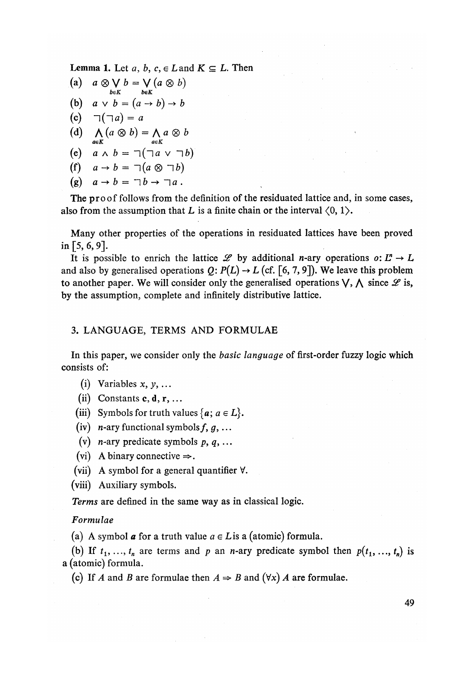**Lemma 1.** Let  $a, b, c \in L$  and  $K \subseteq L$ . Then

(a)  $a \otimes \bigvee_{b \in K} b = \bigvee_{b \in K} (a \otimes b)$ (b)  $a \lor b = (a \rightarrow b) \rightarrow b$ (c)  $\sqcap(\neg a) = a$ (d)  $\Lambda$   $(a \otimes b) = \Lambda a \otimes b$ *aeK aeK*  (e)  $a \wedge b = \neg(\neg a \vee \neg b)$ (f)  $a \rightarrow b = \neg(a \otimes \neg b)$ (g)  $a \rightarrow b = \neg b \rightarrow \neg a$ .

The proof follows from the definition of the residuated lattice and, in some cases, also from the assumption that L is a finite chain or the interval  $(0, 1)$ .

Many other properties of the operations in residuated lattices have been proved in [5, 6, 9].

It is possible to enrich the lattice  $\mathscr L$  by additional *n*-ary operations o:  $L^m \to L$ and also by generalised operations  $Q: P(L) \rightarrow L$  (cf. [6, 7, 9]). We leave this problem to another paper. We will consider only the generalised operations  $\vee$ ,  $\wedge$  since *L* is, by the assumption, complete and infinitely distributive lattice.

## 3. LANGUAGE, TERMS AND FORMULAE

In this paper, we consider only the *basic language* of first-order fuzzy logic which consists of:

- (i) Variables *x, y, ...*
- (ii) Constants  $c, d, r, \ldots$

(iii) Symbols for truth values  $\{a; a \in L\}$ .

(iv)  $n$ -ary functional symbols  $f, g, \ldots$ 

(v) *n*-ary predicate symbols  $p, q, \ldots$ 

- (vi) A binary connective  $\Rightarrow$ .
- (vii) A symbol for a general quantifier  $\forall$ .
- (viii) Auxiliary symbols.

*Terms* are defined in the same way as in classical logic.

## *Formulae*

(a) A symbol **a** for a truth value  $a \in L$  is a (atomic) formula.

(b) If  $t_1, \ldots, t_n$  are terms and p an n-ary predicate symbol then  $p(t_1, \ldots, t_n)$  is a (atomic) formula.

(c) If *A* and *B* are formulae then  $A \Rightarrow B$  and  $(\forall x)$  *A* are formulae.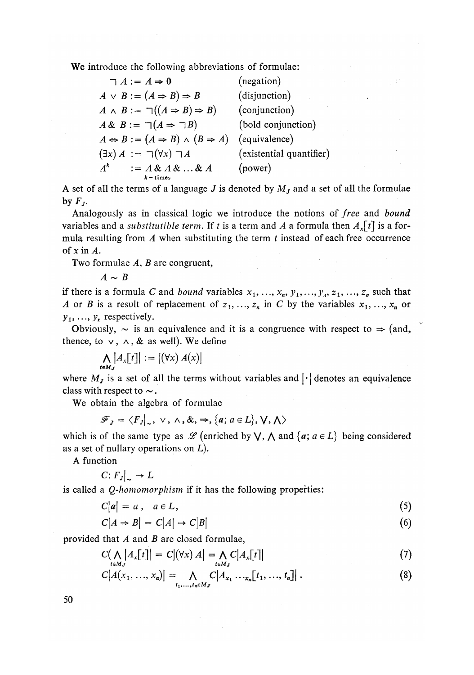We introduce the following abbreviations of formulae:

| $\sqsupset A := A \Rightarrow 0$                                    | (negation)               |
|---------------------------------------------------------------------|--------------------------|
| $A \lor B := (A \Rightarrow B) \Rightarrow B$                       | (disjunction)            |
| $A \wedge B := \neg((A \Rightarrow B) \Rightarrow B)$               | (conjunction)            |
| $A \& B := \sqsupset (A \Rightarrow \sqsupset B)$                   | (bold conjunction)       |
| $A \Leftrightarrow B := (A \Rightarrow B) \wedge (B \Rightarrow A)$ | (equivalence)            |
| $(\exists x) A := \neg(\forall x) \neg A$                           | (existential quantifier) |
| $A^k$<br>$:= A \& A \& \ldots \& A$<br>$k -$ times                  | (power)                  |

A set of all the terms of a language *J* is denoted by *Mj* and a set of all the formulae by  $F_J$ .

Analogously as in classical logic we introduce the notions of *free* and *bound*  variables and a *substitutible term.* If t is a term and A a formula then  $A_x[t]$  is a formula resulting from *A* when substituting the term *t* instead of each free occurrence of xin *A.* 

Two formulae *A, B* are congruent,

 $A \sim B$ 

if there is a formula C and *bound* variables  $x_1, \ldots, x_n, y_1, \ldots, y_n, z_1, \ldots, z_n$  such that *A* or *B* is a result of replacement of  $z_1, \ldots, z_n$  in *C* by the variables  $x_1, \ldots, x_n$  or  $y_1, \ldots, y_n$  respectively.

Obviously,  $\sim$  is an equivalence and it is a congruence with respect to  $\Rightarrow$  (and, thence, to  $\vee$ ,  $\wedge$ , & as well). We define

$$
\bigwedge_{t \in M_J} A_x[t]] := |(\forall x) A(x)|
$$

where  $M_J$  is a set of all the terms without variables and  $|\cdot|$  denotes an equivalence class with respect to  $\sim$ .

We obtain the algebra of formulae

$$
\mathscr{F}_J = \langle F_J |_{\sim}, \vee, \wedge, \&, \Rightarrow, \{a; a \in L\}, \vee, \wedge \rangle
$$

which is of the same type as  $\mathscr{L}$  (enriched by  $\bigvee$ ,  $\bigwedge$  and  $\{a; a \in L\}$  being considered as a set of miliary operations on *L*).

A function

$$
C: F_J|_{\sim} \to L
$$

is called a *Q-homomorphism* if it has the following properties:

$$
C|a| = a, \quad a \in L,\tag{5}
$$

$$
C|A \Rightarrow B| = C|A| \to C|B| \tag{6}
$$

provided that *A* and *B* are closed formulae,

$$
C\left(\bigwedge_{t \in M_J} \left|A_x[t]\right| = C\left|\left(\forall x\right)A\right| = \bigwedge_{t \in M_J} C\left|A_x[t]\right|\tag{7}
$$

$$
C[A(x_1, ..., x_n)] = \bigwedge_{t_1, ..., t_n \in M_J} C[A_{x_1} \dots, x_n[t_1, ..., t_n]] \ . \tag{8}
$$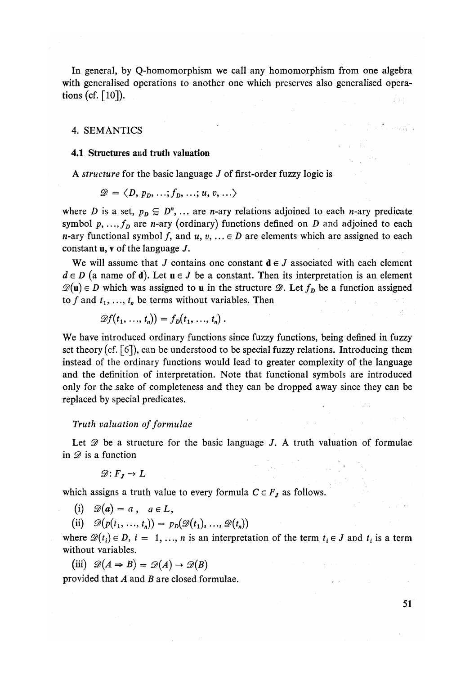In general, by Q-homomorphism we call any homomorphism from one algebra with generalised operations to another one which preserves also generalised operations (cf.  $\lceil 10 \rceil$ ).

## 4. SEMANTICS

#### 4.1 Structures and truth valuation

A *structure* for the basic language *J* of first-order fuzzy logic is

$$
\mathscr{D} = \langle D, p_D, \ldots; f_D, \ldots; u, v, \ldots \rangle
$$

where *D* is a set,  $p_D \subseteq D^n$ , ... are *n*-ary relations adjoined to each *n*-ary predicate symbol  $p, ..., f<sub>D</sub>$  are *n*-ary (ordinary) functions defined on *D* and adjoined to each *n*-ary functional symbol f, and  $u, v, ... \in D$  are elements which are assigned to each constant u, v of the language *J.* 

We will assume that *J* contains one constant  $\mathbf{d} \in J$  associated with each element  $d \in D$  (a name of **d**). Let  $u \in J$  be a constant. Then its interpretation is an element  $\mathscr{D}(\mathbf{u}) \in D$  which was assigned to **u** in the structure  $\mathscr{D}$ . Let  $f<sub>D</sub>$  be a function assigned to f and  $t_1, \ldots, t_n$  be terms without variables. Then

$$
\mathscr{D}f(t_1,\ldots,t_n)\big)=f_D(t_1,\ldots,t_n)\,.
$$

We have introduced ordinary functions since fuzzy functions, being defined in fuzzy set theory (cf. [6]), can be understood to be special fuzzy relations. Introducing them instead of the ordinary functions would lead to greater complexity of the language and the definition of interpretation. Note that functional symbols are introduced only for the .sake of completeness and they can be dropped away since they can be replaced by special predicates.

## *Truth valuation of formulae*

Let *9* be a structure for the basic language *J.* A truth valuation of formulae in *9* is a function

 $\mathcal{D}:F_I\to L$ 

which assigns a truth value to every formula  $C \in F_j$  as follows.

(i)  $\mathscr{D}(a) = a$ ,  $a \in L$ ,

(ii)  $\mathscr{D}(p(t_1, ..., t_n)) = p_D(\mathscr{D}(t_1), ..., \mathscr{D}(t_n))$ 

where  $\mathcal{D}(t_i) \in D$ ,  $i = 1, ..., n$  is an interpretation of the term  $t_i \in J$  and  $t_i$  is a term without variables.

$$
(iii) \mathscr{D}(A \Rightarrow B) = \mathscr{D}(A) \rightarrow \mathscr{D}(B)
$$

provided that *A* and *B* are closed formulae*.*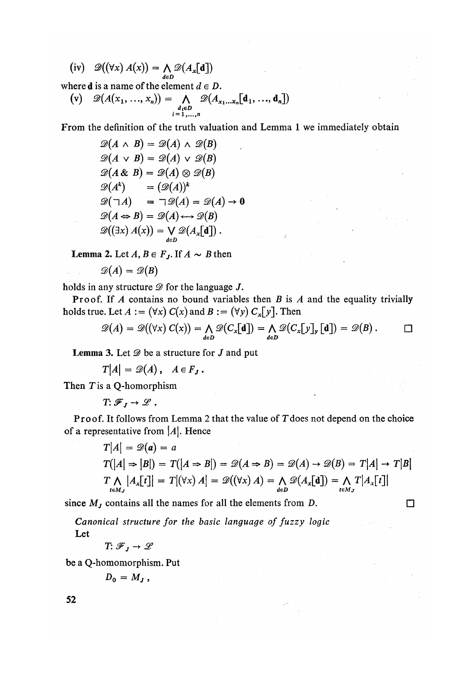$$
(iv) \quad \mathscr{D}((\forall x) A(x)) = \bigwedge_{d \in D} \mathscr{D}(A_x[\mathbf{d}])
$$

where **d** is a name of the element  $d \in D$ .

$$
\begin{array}{ll}\n\text{(v)} & \mathscr{D}(A(x_1, \ldots, x_n)) = \bigwedge_{\substack{d_i \in D \\ i = 1, \ldots, n}} \mathscr{D}(A_{x_1 \ldots x_n}[\mathbf{d}_1, \ldots, \mathbf{d}_n])\n\end{array}
$$

From the definition of the truth valuation and Lemma 1 we immediately obtain

$$
\mathcal{D}(A \wedge B) = \mathcal{D}(A) \wedge \mathcal{D}(B)
$$
  
\n
$$
\mathcal{D}(A \vee B) = \mathcal{D}(A) \vee \mathcal{D}(B)
$$
  
\n
$$
\mathcal{D}(A \& B) = \mathcal{D}(A) \otimes \mathcal{D}(B)
$$
  
\n
$$
\mathcal{D}(A^k) = (\mathcal{D}(A))^k
$$
  
\n
$$
\mathcal{D}(\neg A) = \neg \mathcal{D}(A) = \mathcal{D}(A) \rightarrow 0
$$
  
\n
$$
\mathcal{D}(A \Leftrightarrow B) = \mathcal{D}(A) \longleftrightarrow \mathcal{D}(B)
$$
  
\n
$$
\mathcal{D}((\exists x) A(x)) = \bigvee_{d \in D} \mathcal{D}(A_x[\mathbf{d}]).
$$

**Lemma 2.** Let  $A, B \in F_J$ . If  $A \sim B$  then

$$
\mathscr{D}(A)=\mathscr{D}(B)
$$

holds in any structure *9* for the language *J.* 

Proof. If *A* contains no bound variables then *B* is *A* and the equality trivially holds true. Let  $A := (\forall x) C(x)$  and  $B := (\forall y) C_x[y]$ . Then

$$
\mathscr{D}(A) = \mathscr{D}((\forall x) C(x)) = \bigwedge_{d \in D} \mathscr{D}(C_x[\mathbf{d}]) = \bigwedge_{d \in D} \mathscr{D}(C_x[\mathbf{y}]_{\mathbf{y}}[\mathbf{d}]) = \mathscr{D}(B).
$$

**Lemma 3.** Let  $\mathcal{D}$  be a structure for  $J$  and put  $\mathcal{L}$  and  $\mathcal{L}$  be a structure for  $\mathcal{L}$  and put

 $T_{\text{max}} = 2(4)$ ,  $T_{\text{max}}$ 

Then *T*is a Q-homorphism

 $T: \mathscr{F}_I \to \mathscr{L}$ .

Proof. It follows from Lemma 2 that the value of *T*does not depend on the choice of a representative from |*A*|. Hence

$$
T|A| = \mathcal{D}(a) = a
$$
  
\n
$$
T(|A| \Rightarrow |B|) = T(|A \Rightarrow B|) = \mathcal{D}(A \Rightarrow B) = \mathcal{D}(A) \rightarrow \mathcal{D}(B) = T|A| \rightarrow T|B|
$$
  
\n
$$
T \underset{t \in M_J}{\bigwedge} |A_x[t]| = T|(\forall x) |A| = \mathcal{D}((\forall x) |A) = \underset{d \in D}{\bigwedge} \mathcal{D}(A_x[\mathbf{d}]) = \underset{t \in M_J}{\bigwedge} T|A_x[t]|
$$

since  $M_J$  contains all the names for all the elements from *D*.

*Canonical structure for the basic language of fuzzy logic*  Let

 $T: \mathcal{F}_J \to \mathcal{L}$ 

be a Q-homomorphism. Put

$$
D_0 = M_J,
$$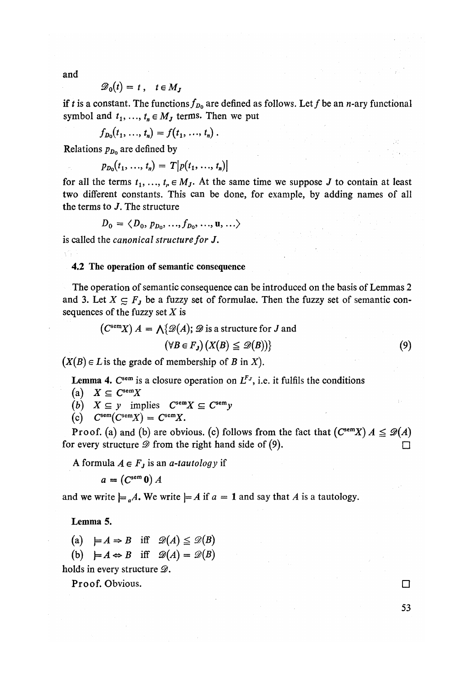and

$$
\mathscr{D}_0(t) = t \,, \quad t \in M_J
$$

if *t* is a constant. The functions  $f_{D_0}$  are defined as follows. Let f be an *n*-ary functional symbol and  $t_1, ..., t_n \in M_J$  terms. Then we put

$$
f_{D_0}(t_1, ..., t_n) = f(t_1, ..., t_n).
$$

Relations *pDo* are defined by

$$
p_{D_0}(t_1, ..., t_n) = T[p(t_1, ..., t_n)]
$$

for all the terms  $t_1, \ldots, t_r \in M_J$ . At the same time we suppose *J* to contain at least two different constants. This can be done, for example, by adding names of all the terms to *J.* The structure

$$
D_0 = \langle D_0, p_{D_0}, ..., f_{D_0}, ..., \mathbf{u}, ... \rangle
$$

is called the *canonical structure for J.* 

#### 4.2 The operation of semantic consequence

The operation of semantic consequence can be introduced on the basis of Lemmas 2 and 3. Let  $X \subseteq F_j$  be a fuzzy set of formulae. Then the fuzzy set of semantic consequences of the fuzzy set *X* is

$$
(CsemX) A = \bigwedge \{ \mathcal{D}(A); \mathcal{D} \text{ is a structure for } J \text{ and}
$$

$$
(\forall B \in F_J) \{ X(B) \leq \mathcal{D}(B) \}
$$
(9)

 $(X(B) \in L$  is the grade of membership of *B* in *X*).

Lemma 4.  $C^{sem}$  is a closure operation on  $L^{F_J}$ , i.e. it fulfils the conditions

$$
(a) \quad X \subseteq C^{\text{sem}}X
$$

(b) 
$$
X \subseteq y
$$
 implies  $C^{\text{sem}}X \subseteq C^{\text{sem}}y$ 

(c) 
$$
C^{sem}(C^{sem}X) = C^{sem}X
$$
.

Proof. (a) and (b) are obvious. (c) follows from the fact that  $(C^{sem}X) A \leq \mathcal{D}(A)$ for every structure  $\mathscr{D}$  from the right hand side of (9).

A formula  $A \in F_j$  is an *a*-tautology if

$$
a = (C^{\rm sem} 0) A
$$

and we write  $\models_{a} A$ . We write  $\models A$  if  $a = 1$  and say that A is a tautology.

## Lemma 5*.*

(a)  $\models A \Rightarrow B$  iff  $\mathscr{D}(A) \leq \mathscr{D}(B)$ 

(b)  $\models A \Leftrightarrow B$  iff  $\mathscr{D}(A) = \mathscr{D}(B)$ 

holds in every structure  $\mathscr{D}$ .

Proof. Obvious.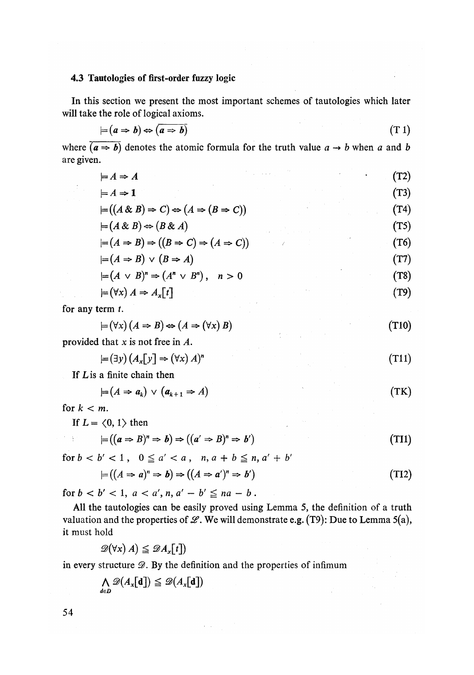# 4.3 Tautologies of first-order fuzzy logic

In this section we present the most important schemes of tautologies which later will take the role of logical axioms*.* 

$$
\models (a \Rightarrow b) \Leftrightarrow \boxed{a \Rightarrow b} \tag{T 1}
$$

where  $\overline{(a \Rightarrow b)}$  denotes the atomic formula for the truth value  $a \rightarrow b$  when a and *b* are given*.* 

| $\models A \Rightarrow A$                                                            | $\sigma_{\rm{eff}} \approx 8.2~M_{\odot}$ and $\sigma_{\rm{eff}}$ | (T2) |
|--------------------------------------------------------------------------------------|-------------------------------------------------------------------|------|
| $\models A \Rightarrow \mathbf{1}$                                                   |                                                                   | (T3) |
| $\models ((A \& B) \Rightarrow C) \Leftrightarrow (A \Rightarrow (B \Rightarrow C))$ |                                                                   | (T4) |
| $\models (A \& B) \Leftrightarrow (B \& A)$                                          |                                                                   | (T5) |
| $= (A \Rightarrow B) \Rightarrow ((B \Rightarrow C) \Rightarrow (A \Rightarrow C))$  |                                                                   | (T6) |
| $\models (A \Rightarrow B) \lor (B \Rightarrow A)$                                   |                                                                   | (T7) |
| $\models (A \vee B)^n \Rightarrow (A^n \vee B^n),$<br>n > 0                          |                                                                   | (T8) |
| $\models (\forall x) A \Rightarrow A_x[t]$                                           |                                                                   | (T9) |

for any term *t.* 

 $\sim 10^{11}$ 

$$
\models (\forall x) (A \Rightarrow B) \Leftrightarrow (A \Rightarrow (\forall x) B) \tag{T10}
$$

provided that x is not free in *A.* 

$$
\models (\exists y) (A_x[y] \Rightarrow (\forall x) A)^n
$$
\n<sup>(T11)</sup>

If *L* is a finite chain then

$$
\models (A \Rightarrow a_k) \lor (a_{k+1} \Rightarrow A) \tag{TK}
$$

for  $k < m$ .

 $\gamma$  .  $\chi$ 

If 
$$
L = \langle 0, 1 \rangle
$$
 then

$$
\models ((a \Rightarrow B)^n \Rightarrow b) \Rightarrow ((a' \Rightarrow B)^n \Rightarrow b') \tag{T11}
$$

for  $b < b' < 1$ ,  $0 \le a' < a$ ,  $n, a + b \le n, a' + b'$ 

$$
\models ((A \Rightarrow a)^n \Rightarrow b) \Rightarrow ((A \Rightarrow a')^n \Rightarrow b') \tag{T12}
$$

for  $b < b' < 1$ ,  $a < a'$ ,  $n, a' - b' \le na - b$ .

All the tautologies can be easily proved using Lemma 5, the definition of a truth valuation and the properties of  $\mathcal{L}$ . We will demonstrate e.g. (T9): Due to Lemma 5(a), it must hold

$$
\mathscr{D}(\forall x) \, A) \leq \mathscr{D} A_x[t]
$$

in every structure  $\mathcal{D}$ . By the definition and the properties of infimum

$$
\bigwedge_{d\in D}\mathscr{D}(A_x[\mathbf{d}])\leq \mathscr{D}(A_x[\mathbf{d}])
$$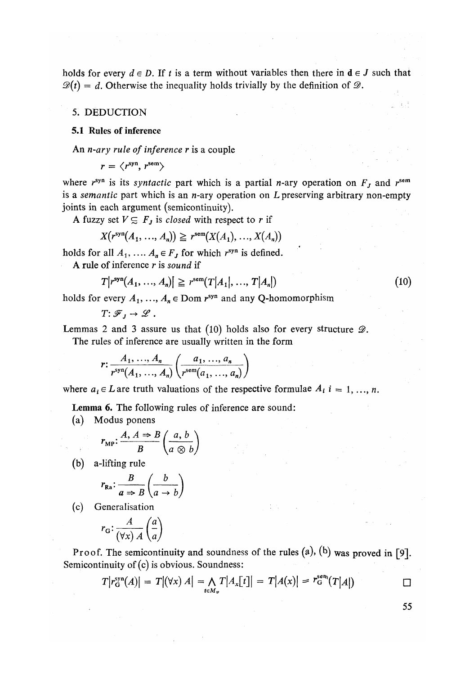holds for every  $d \in D$ . If t is a term without variables then there in  $d \in J$  such that  $\mathcal{D}(t) = d$ . Otherwise the inequality holds trivially by the definition of  $\mathcal{D}$ .

## *5.* DEDUCTION

## 5.1 Rules of inference

An *n-ary rule of inference r* is a couple

 $r = \langle r^{syn} \rangle$   $r^{sem}$ 

where  $r^{syn}$  is its *syntactic* part which is a partial *n*-ary operation on  $F<sub>J</sub>$  and  $r^{sem}$ is a *semantic* part which is an n-ary operation on *L* preserving arbitrary non-empty joints in each argument (semicontinuity).

A fuzzy set  $V \subseteq F_j$  is *closed* with respect to r if

$$
X(r^{syn}(A_1, ..., A_n)) \geqq r^{sem}(X(A_1), ..., X(A_n))
$$

holds for all  $A_1, \ldots, A_n \in F_J$  for which  $r^{syn}$  is defined.

A rule of inference *r* is *sound* if

$$
T[r^{syn}(A_1, ..., A_n)] \geq r^{sem}(T[A_1], ..., T[A_n])
$$
\n(10)

holds for every  $A_1, ..., A_n \in \text{Dom } r^{\text{syn}}$  and any Q-homomorphism

 $T: \mathscr{F}_I \to \mathscr{L}$ .

Lemmas 2 and 3 assure us that (10) holds also for every structure *B.* 

The rules of inference are usually written in the form

$$
r: \frac{A_1, \ldots, A_n}{r^{\text{syn}}(A_1, \ldots, A_n)} \left(\frac{a_1, \ldots, a_n}{r^{\text{sem}}(a_1, \ldots, a_n)}\right)
$$

where  $a_i \in L$  are truth valuations of the respective formulae  $A_i$   $i = 1, ..., n$ .

Lemma 6. The following rules of inference are sound:

(a) Modus ponens

$$
r_{\text{MP}}: \frac{A, A \Rightarrow B}{B} \left( \frac{a, b}{a \otimes b} \right)
$$

(b) a-lifting rule

$$
r_{\mathbf{R}\mathbf{a}} \colon \frac{B}{a \Rightarrow B} \left( \frac{b}{a \to b} \right)
$$

(c) Generalisation

$$
r_{\mathbf{G}}:\frac{A}{(\forall x) A}\begin{pmatrix}a\\a\end{pmatrix}
$$

Proof. The semicontinuity and soundness of the rules  $(a)$ ,  $(b)$  was proved in [9]. Semicontinuity of (c) is obvious. Soundness:

$$
T|r_{G}^{\text{syn}}(A)| = T|(\forall x) A| = \bigwedge_{t \in M_{\nu}} T|A_{x}[t]| = T|A(x)| \geq r_{G}^{\text{sen}}(T|A|) \qquad \qquad \Box
$$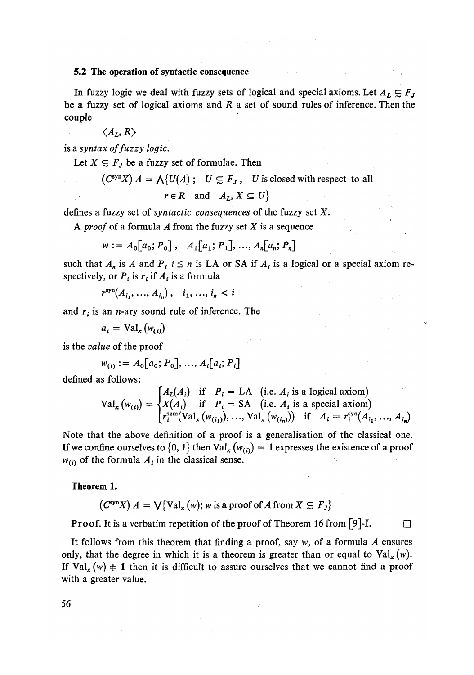#### 5.2 The operation of syntactic consequence

In fuzzy logic we deal with fuzzy sets of logical and special axioms. Let  $A_L \subseteq F_J$ be a fuzzy set of logical axioms and *R* a set of sound rules of inference. Then the couple

$$
\langle A_L, R \rangle
$$

is a *syntax of fuzzy logic.* 

Let  $X \subseteq F_j$  be a fuzzy set of formulae. Then

 $(C^{\text{syn}} X) A = \bigwedge \{U(A); \quad U \subsetneq F_J, \quad U \text{ is closed with respect to all }$ 

$$
r \in R \quad \text{and} \quad A_L, X \subseteq U \}
$$

defines a fuzzy set of *syntactic consequences* of the fuzzy set *X.* 

A proo*f* of a formula *A* from the fuzzy set *X* is a sequence

$$
w := A_0[a_0; P_0], \quad A_1[a_1; P_1], ..., A_n[a_n; P_n]
$$

such that  $A_n$  is A and  $P_i$  *i*  $\leq n$  is LA or SA if  $A_i$  is a logical or a special axiom respectively, or  $P_i$  is  $r_i$  if  $A_i$  is a formula

$$
r^{\text{syn}}(A_{i_1},..., A_{i_n}), \quad i_1, ..., i_n < i
$$

and  $r_i$  is an *n*-ary sound rule of inference. The

$$
a_i = \text{Val}_x(w_{(i)})
$$

is the value of the proof

$$
w_{(i)} := A_0[a_0; P_0], ..., A_i[a_i; P_i]
$$

defined as follows:

$$
\text{Val}_x(w_{(i)}) = \begin{cases} A_L(A_i) & \text{if } P_i = \text{LA} \quad (\text{i.e. } A_i \text{ is a logical axiom}) \\ X(A_i) & \text{if } P_i = \text{SA} \quad (\text{i.e. } A_i \text{ is a special axiom}) \\ r_i^{\text{sem}}(\text{Val}_x(w_{(i_1)}), \dots, \text{Val}_x(w_{(i_n)})) & \text{if } A_i = r_i^{\text{syn}}(A_{i_1}, \dots, A_{i_n}) \end{cases}
$$

Note that the above definition of a proof is a generalisation of the classical one. If we confine ourselves to  $\{0, 1\}$  then  $Val_x(w_{(i)}) = 1$  expresses the existence of a proof  $w_{(i)}$  of the formula  $A_i$  in the classical sense.

Theorem 1.

$$
(CsynX) A = \bigvee \{ Val_x(w); w \text{ is a proof of } A \text{ from } X \subseteq F_J \}
$$

**Proof.** It is a verbatim repetition of the proof of Theorem 16 from [9]-I.  $\Box$ 

It follows from this theorem that finding a proof, say *w,* of a formula *A* ensures only, that the degree in which it is a theorem is greater than or equal to  $Val_x(w)$ . If  $Val_x(w) \neq 1$  then it is difficult to assure ourselves that we cannot find a proof with a greater value.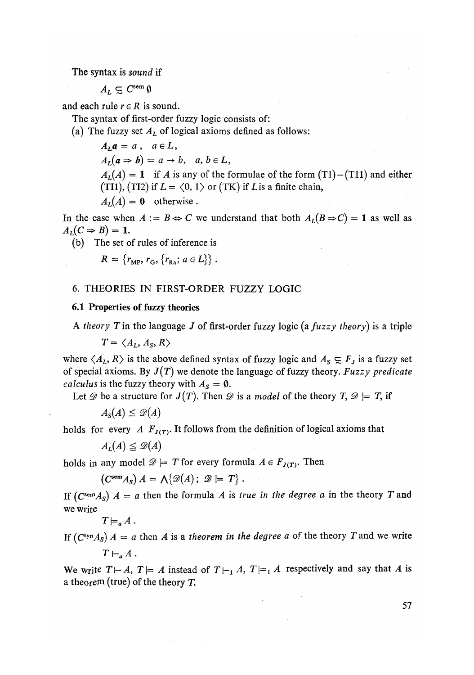#### The syntax is *sound* if

 $A_L \subseteq C^{\text{sem}} \emptyset$ 

and each rule  $r \in R$  is sound.

The syntax of first-order fuzzy logic consists of:

(a) The fuzzy set *AL* of logical axioms defined as follows:

 $A_L a = a$ ,  $a \in L$ ,  $A_L(a \Rightarrow b) = a \rightarrow b, \quad a, b \in L,$  $A_L(A) = 1$  if *A* is any of the formulae of the form  $(T1) - (T11)$  and either (TI1), (TI2) if  $L = \langle 0, 1 \rangle$  or (TK) if *L* is a finite chain,  $A_L(A) = 0$  otherwise.

In the case when  $A := B \Leftrightarrow C$  we understand that both  $A_L(B \Rightarrow C) = 1$  as well as  $A_L(C \Rightarrow B) = 1.$ 

(b) The set of rules of inference is

$$
R = \{r_{\rm MP}, r_{\rm G}, \{r_{\rm Ra}; a \in L\}\}.
$$

## 6. THEORIES IN FIRST-ORDER FUZZY LOGIC

# 6.1 Properties of fuzzy theories

A *theory T*in the language *J* of first-order fuzzy logic *(a fuzzy theory)* is a triple

 $T = \langle A_I, A_S, R \rangle$ 

where  $\langle A_L, R \rangle$  is the above defined syntax of fuzzy logic and  $A_S \subseteq F_J$  is a fuzzy set of special axioms. By *J(T)* we denote the language of fuzzy theory. *Fuzzy predicate calculus* is the fuzzy theory with  $A_s = \emptyset$ .

Let  $\mathscr D$  be a structure for  $J(T)$ . Then  $\mathscr D$  is a *model* of the theory  $T, \mathscr D \models T$ , if

$$
A_{\mathcal{S}}(A) \leq \mathscr{D}(A)
$$

holds for every *A*  $F_{J(T)}$ . It follows from the definition of logical axioms that

$$
A_L(A) \leq \mathcal{D}(A)
$$

holds in any model  $\mathscr{D} \models T$  for every formula  $A \in F_{J(T)}$ . Then

$$
(C^{\text{sem}} A_S) A = \Lambda \{ \mathscr{D}(A); \mathscr{D} \models T \}.
$$

If  $(C^{\text{sem}}A_S)$   $A = a$  then the formula  $A$  is *true in the degree a* in the theory  $T$  and we write

$$
T\models_a A.
$$

If  $(C<sup>syn</sup>A<sub>S</sub>)$   $A = a$  then  $A$  is a theorem in the degree  $a$  of the theory  $T$  and we write  $T\vdash_a A$ .

We write  $T \vdash A$ ,  $T \models A$  instead of  $T \vdash_1 A$ ,  $T \models_1 A$  respectively and say that A is a theorem (true) of the theory *T*.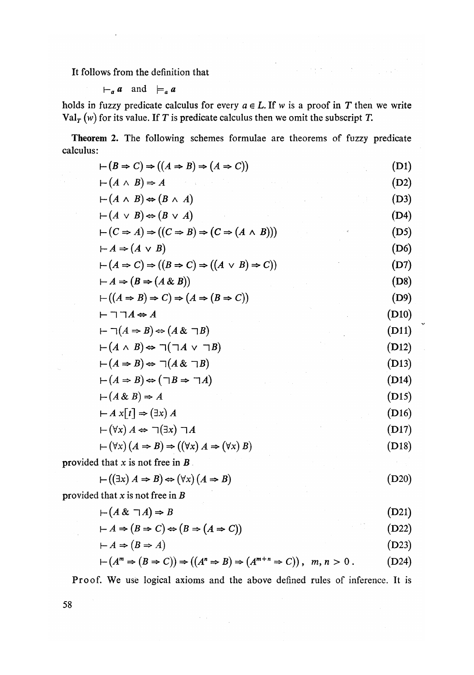It follows from the definition that

$$
\vdash_a a \quad \text{and} \quad \models_a a
$$

holds in fuzzy predicate calculus for every  $a \in L$ . If w is a proof in T then we write Val<sup>r</sup> (w) for its value. If *T* is predicate calculus then we omit the subscript *T*.

Theorem 2. The following schemes formulae are theorems of fuzzy predicate calculus:

| $\vdash (B \Rightarrow C) \Rightarrow ((A \Rightarrow B) \Rightarrow (A \Rightarrow C))$           | (D1)  |
|----------------------------------------------------------------------------------------------------|-------|
| $\vdash (A \land B) \Rightarrow A$                                                                 | (D2)  |
| $\vdash (A \land B) \Leftrightarrow (B \land A)$                                                   | (D3)  |
| $\vdash (A \lor B) \Leftrightarrow (B \lor A)$                                                     | (D4)  |
| $\vdash (C \Rightarrow A) \Rightarrow ((C \Rightarrow B) \Rightarrow (C \Rightarrow (A \land B)))$ | (D5)  |
| $\vdash A \Rightarrow (A \lor B)$                                                                  | (D6)  |
| $\vdash (A \Rightarrow C) \Rightarrow ((B \Rightarrow C) \Rightarrow ((A \lor B) \Rightarrow C))$  | (D7)  |
| $\vdash A \Rightarrow (B \Rightarrow (A \& B))$                                                    | (D8)  |
| $\vdash ((A \Rightarrow B) \Rightarrow C) \Rightarrow (A \Rightarrow (B \Rightarrow C))$           | (D9)  |
| $\vdash \sqsupset \sqsupset A \Leftrightarrow A$                                                   | (D10) |
| $\vdash \neg(A \Rightarrow B) \Leftrightarrow (A \& \neg B)$                                       | (D11) |
| $\vdash (A \land B) \Leftrightarrow \sqcap (\sqcap A \lor \sqcap B)$                               | (D12) |
| $\vdash (A \Rightarrow B) \Leftrightarrow \sqsupset (A \& \sqsupset B)$                            | (D13) |
| $\vdash (A \Rightarrow B) \Leftrightarrow (\neg B \Rightarrow \neg A)$                             | (D14) |
| $\vdash (A \& B) \Rightarrow A$                                                                    | (D15) |
| $\vdash A \times [t] \Rightarrow (\exists x) A$                                                    | (D16) |
| $\vdash (\forall x) A \Leftrightarrow \sqsupset (\exists x) \sqsupset A$                           | (D17) |
| $\vdash (\forall x)(A \Rightarrow B) \Rightarrow ((\forall x) A \Rightarrow (\forall x) B)$        | (D18) |
| provided that $x$ is not free in $B$ .                                                             |       |
| $\vdash ((\exists x) A \Rightarrow B) \Leftrightarrow (\forall x) (A \Rightarrow B)$               | (D20) |
|                                                                                                    |       |

provided that x is not free in *B* 

$$
-(A \& \neg A) \Rightarrow B \tag{D21}
$$

$$
\vdash A \Rightarrow (B \Rightarrow C) \Leftrightarrow (B \Rightarrow (A \Rightarrow C)) \tag{D22}
$$

$$
\vdash A \Rightarrow (B \Rightarrow A) \tag{D23}
$$

$$
\vdash (A^{m} \Rightarrow (B \Rightarrow C)) \Rightarrow ((A^{n} \Rightarrow B) \Rightarrow (A^{m+n} \Rightarrow C)), \quad m, n > 0.
$$
 (D24)

Proof. We use logical axioms and the above defined rules of inference. It is

 $\label{eq:2} \mathcal{F}(\mathcal{A}) = \mathcal{F}(\mathcal{A})$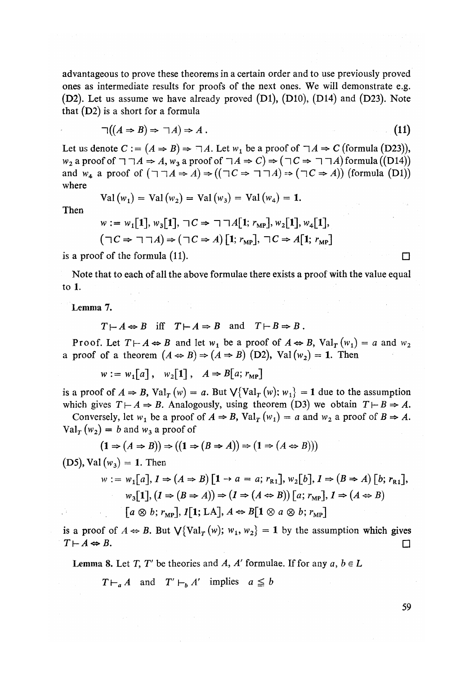advantageous to prove these theorems in a certain order and to use previously proved ones as intermediate results for proofs of the next ones. We will demonstrate e.g.  $(D2)$ . Let us assume we have already proved  $(D1)$ ,  $(D10)$ ,  $(D14)$  and  $(D23)$ . Note that (D2) is a short for a formula

$$
\neg((A \Rightarrow B) \Rightarrow \neg A) \Rightarrow A. \tag{11}
$$

Let us denote  $C := (A \Rightarrow B) \Rightarrow \exists A$ . Let  $w_1$  be a proof of  $\exists A \Rightarrow C$  (formula (D23)),  $w_2$  a proof of  $\neg \neg A \Rightarrow A$ ,  $w_3$  a proof of  $\neg A \Rightarrow C$   $\Rightarrow$   $(\neg C \Rightarrow \neg \neg A)$  formula ((D14)) and  $w_4$  a proof of  $(\neg \neg A \Rightarrow A) \Rightarrow ((\neg C \Rightarrow \neg \neg A) \Rightarrow (\neg C \Rightarrow A))$  (formula (D1)) where

$$
Val(w_1) = Val(w_2) = Val(w_3) = Val(w_4) = 1.
$$

Then

$$
w := w_1[1], w_3[1], \sqcap C \Rightarrow \sqcap \sqcap A[1; r_{\text{MP}}], w_2[1], w_4[1],
$$
  

$$
(\sqcap C \Rightarrow \sqcap \sqcap A) \Rightarrow (\sqcap C \Rightarrow A)[1; r_{\text{MP}}], \sqcap C \Rightarrow A[1; r_{\text{MP}}]
$$

is a proof of the formula (11).  $\Box$ 

Note that to each of all the above formulae there exists a proof with the value equal to 1.

Lemma 7.

$$
T \mapsto A \Leftrightarrow B
$$
 iff  $T \mapsto A \Rightarrow B$  and  $T \mapsto B \Rightarrow B$ .

Proof. Let  $T \vdash A \Leftrightarrow B$  and let  $w_1$  be a proof of  $A \Leftrightarrow B$ ,  $Val_T(w_1) = a$  and  $w_2$ a proof of a theorem  $(A \Leftrightarrow B) \Rightarrow (A \Rightarrow B)$  (D2), Val $(w_2) = 1$ . Then

 $w := w_1[a], w_2[1], A \Rightarrow B[a; r_{MP}]$ 

is a proof of  $A \Rightarrow B$ ,  $Val_T(w) = a$ . But  $\bigvee \{ Val_T(w) ; w_1 \} = 1$  due to the assumption which gives  $T\mapsto A\Rightarrow B$ . Analogously, using theorem (D3) we obtain  $T\mapsto B\Rightarrow A$ .

Conversely, let  $w_1$  be a proof of  $A \Rightarrow B$ ,  $Val_T(w_1) = a$  and  $w_2$  a proof of  $B \Rightarrow A$ .  $Val_T(w_2) = b$  and  $w_3$  a proof of

$$
(\mathbf{1} \Rightarrow (A \Rightarrow B)) \Rightarrow ((\mathbf{1} \Rightarrow (B \Rightarrow A)) \Rightarrow (\mathbf{1} \Rightarrow (A \Leftrightarrow B)))
$$

(D5), Val  $(w_3) = 1$ . Then

$$
w := w_1[a], I \Rightarrow (A \Rightarrow B) [1 \rightarrow a = a; r_{R1}], w_2[b], I \Rightarrow (B \Rightarrow A) [b; r_{R1}],
$$
  
\n
$$
w_3[1], (I \Rightarrow (B \Rightarrow A)) \Rightarrow (I \Rightarrow (A \Leftrightarrow B)) [a; r_{MP}], I \Rightarrow (A \Leftrightarrow B)
$$
  
\n
$$
[a \otimes b; r_{MP}], I[1; LA], A \Leftrightarrow B[1 \otimes a \otimes b; r_{MP}]
$$

is a proof of  $A \Leftrightarrow B$ . But  $\bigvee \{ \text{Val}_T(w); w_1, w_2 \} = 1$  by the assumption which gives  $T \vdash A \Leftrightarrow B.$ 

**Lemma 8.** Let *T*, *T'* be theories and *A*, *A'* formulae. If for any  $a, b \in L$ 

 $T \vdash_{a} A$  and  $T' \vdash_{b} A'$  implies  $a \leq b$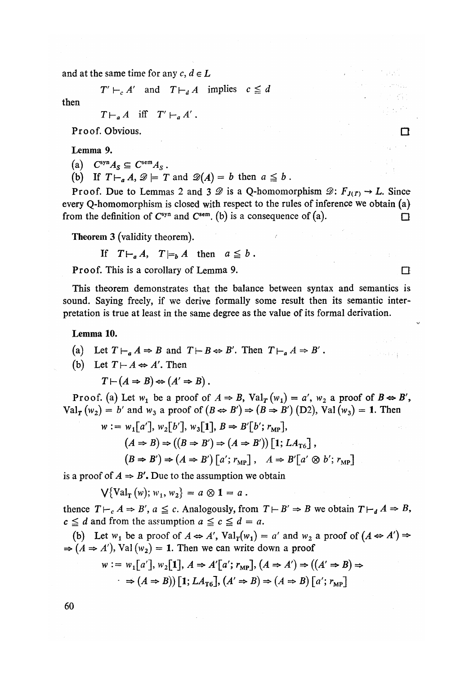and at the same time for any  $c, d \in L$ 

 $T' \vdash_c A'$  and  $T \vdash_d A$  implies  $c \leq d$ 

then

 $T\vdash_{a} A$  iff  $T'\vdash_{a} A'$ .

Proof. Obvious.

Lemma 9.

(a)  $C^{syn}A_S \subseteq C^{sem}A_S$ .

(b) If  $T \vdash_a A$ ,  $\mathscr{D} \models T$  and  $\mathscr{D}(A) = b$  then  $a \leq b$ .

Proof. Due to Lemmas 2 and 3  $\mathscr D$  is a Q-homomorphism  $\mathscr D: F_{J(\Gamma)} \to L$ . Since every Q-homomorphism is closed with respect to the rules of inference we obtain (a) from the definition of  $C^{syn}$  and  $C^{sem}$ . (b) is a consequence of (a).

Theorem 3 (validity theorem)*.* 

If  $T\vdash_a A$ ,  $T\models_b A$  then  $a \leq b$ .

**Proof.** This is a corollary of Lemma 9.

This theorem demonstrates that the balance between syntax and semantics is sound. Saying freely, if we derive formally some result then its semantic interpretation is true at least in the same degree as the value of its formal derivation.

Lemma 10.

- (a) Let  $T \vdash_a A \Rightarrow B$  and  $T \vdash B \Leftrightarrow B'$ . Then  $T \vdash_a A \Rightarrow B'$ .
- (b) Let  $T\mapsto A \Leftrightarrow A'$ . Then

 $T\vdash (A\Rightarrow B)\Leftrightarrow (A'\Rightarrow B)$ .

Proof. (a) Let  $w_1$  be a proof of  $A \Rightarrow B$ ,  $Val_T(w_1) = a'$ ,  $w_2$  a proof of  $B \Leftrightarrow B'$ ,  $Val_{\mathbf{T}}(w_2) = b'$  and  $w_3$  a proof of  $(B \Leftrightarrow B') \Rightarrow (B \Rightarrow B')$  (D2), Val  $(w_3) = 1$ . Then

$$
w := w_1[a'], w_2[b'], w_3[1], B \Rightarrow B'[b'; r_{MP}],(A \Rightarrow B) \Rightarrow ((B \Rightarrow B') \Rightarrow (A \Rightarrow B')) [1; LA_{T6}],(B \Rightarrow B') \Rightarrow (A \Rightarrow B') [a'; r_{MP}], A \Rightarrow B'[a' \otimes b'; r_{MP}]
$$

is a proof of  $A \Rightarrow B'$ . Due to the assumption we obtain

 $\sqrt{\text{Val}_{\text{r}}(w)}$ ;  $w_1, w_2$  =  $a \otimes 1 = a$ .

thence  $T\vdash_c A \Rightarrow B'$ ,  $a \leq c$ . Analogously, from  $T\vdash B' \Rightarrow B$  we obtain  $T\vdash_d A \Rightarrow B$ ,  $c \leq d$  and from the assumption  $a \leq c \leq d = a$ .

(b) Let  $w_1$  be a proof of  $A \Leftrightarrow A'$ ,  $Val_T(w_1) = a'$  and  $w_2$  a proof of  $(A \Leftrightarrow A') \Rightarrow$  $\Rightarrow (A \Rightarrow A')$ , Val (w<sub>2</sub>) = 1. Then we can write down a proof

$$
w := w_1[a'], w_2[1], A \Rightarrow A'[a'; r_{MP}], (A \Rightarrow A') \Rightarrow ((A' \Rightarrow B) \Rightarrow
$$
  

$$
\Rightarrow (A \Rightarrow B)) [1; LA_{T6}], (A' \Rightarrow B) \Rightarrow (A \Rightarrow B) [a'; r_{MP}]
$$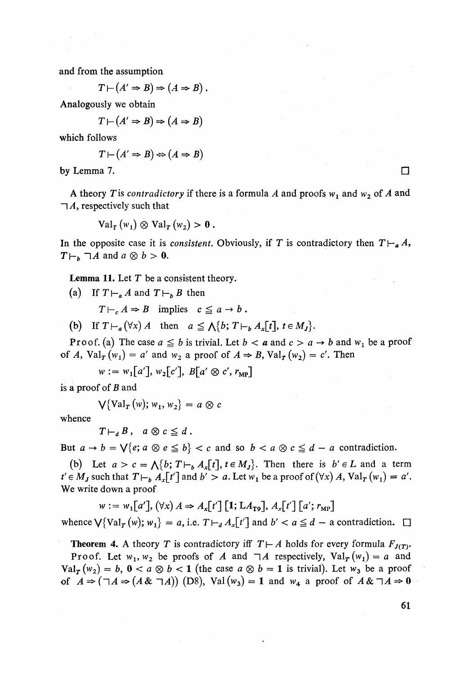and from the assumption

$$
T\vdash (A'\Rightarrow B)\Rightarrow (A\Rightarrow B).
$$

Analogously we obtain

$$
T \vdash (A' \Rightarrow B) \Rightarrow (A \Rightarrow B)
$$

which follows

$$
T \vdash (A' \Rightarrow B) \Leftrightarrow (A \Rightarrow B)
$$

by Lemma 7.  $\Box$ 

A theory T is *contradictory* if there is a formula A and proofs  $w_1$  and  $w_2$  of A and *~\A,* respectively such that

 $Val_T(w_1) \otimes Val_T(w_2) > 0$ .

In the opposite case it is *consistent*. Obviously, if T is contradictory then  $T\vdash_a A$ ,  $T\vdash_b \neg A$  and  $a \otimes b > 0$ .

Lemma 11. Let *T* be a consistent theory.

(a) If  $T \vdash_a A$  and  $T \vdash_b B$  then

 $T \vdash_c A \Rightarrow B$  implies  $c \leq a \rightarrow b$ .

(b) If  $T \vdash_{a} (\forall x) A$  then  $a \leq \bigwedge \{b; T \vdash_{b} A_{x}[t], t \in M_{I}\}.$ 

Proof. (a) The case  $a \leq b$  is trivial. Let  $b < a$  and  $c > a \rightarrow b$  and  $w_1$  be a proof of *A*,  $Val_T(w_1) = a'$  and  $w_2$  a proof of  $A \Rightarrow B$ ,  $Val_T(w_2) = c'$ . Then

 $w := w_1[a']$ ,  $w_2[c']$ ,  $B[a' \otimes c', r_{MP}]$ 

is a proof of *B* and

$$
\bigvee \{\mathrm{Val}_{T}(w); w_{1}, w_{2}\} = a \otimes c
$$

whence

 $T\vdash_{d} B$ ,  $a\otimes c \leq d$ .

But  $a \to b = \sqrt{\{e; a \otimes e \leq b\}} < c$  and so  $b < a \otimes c \leq d - a$  contradiction.

(b) Let  $a > c = \bigwedge \{b; T \vdash_b A_x[t], t \in M_J\}$ . Then there is  $b' \in L$  and a term  $t' \in M_J$  such that  $T\vdash_b A_x[t']$  and  $b' > a$ . Let  $w_1$  be a proof of  $(\forall x) A$ ,  $\text{Val}_T(w_1) = a'.$ We write down a proof

 $w := w_1[a'], (\forall x) \land A \Rightarrow A_r[t'] [1; LA_{T9}], A_r[t'] [a'; r_{MP}]$ 

whence  $\bigvee \{Val_T(w); w_1\} = a$ , i.e.  $T \vdash_d A_x[t']$  and  $b' < a \le d$  – a contradiction.  $\Box$ 

**Theorem 4.** A theory *T* is contradictory iff  $T \vdash A$  holds for every formula  $F_{J(T)}$ *.* Proof. Let  $w_1, w_2$  be proofs of A and  $\neg A$  respectively,  $Val_T(w_1) = a$  and  $Val_T(w_2) = b$ ,  $0 < a \otimes b < 1$  (the case  $a \otimes b = 1$  is trivial). Let  $w_3$  be a proof of  $A \Rightarrow (\neg A \Rightarrow (A \& \neg A))$  (D8), Val (w<sub>3</sub>) = 1 and w<sub>4</sub> a proof of  $A \& \neg A \Rightarrow 0$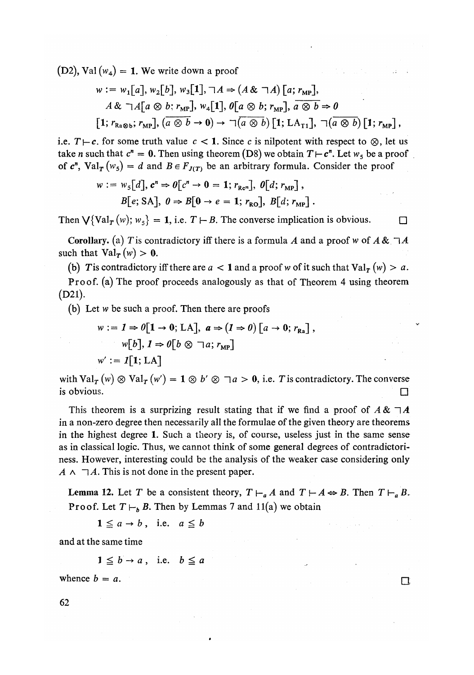$(D2)$ , Val  $(w_4) = 1$ . We write down a proof

$$
w := w_1[a], w_2[b], w_3[1], \neg A \Rightarrow (A \& \neg A) [a; r_{MP}],
$$
  

$$
A \& \neg A[a \otimes b; r_{MP}], w_4[1], 0[a \otimes b; r_{MP}], a \otimes b \Rightarrow 0
$$
  
[1; r<sub>Ra@b</sub>; r<sub>MP</sub>],  $(a \otimes b \rightarrow 0) \rightarrow \neg (a \otimes b) [1; LA_{T1}], \neg (a \otimes b) [1; r_{MP}],$ 

i.e.  $T\mapsto c$ . for some truth value  $c < 1$ . Since c is nilpotent with respect to  $\otimes$ , let us take *n* such that  $c^n = 0$ . Then using theorem (D8) we obtain  $T \vdash c^n$ . Let  $w_5$  be a proof of  $c^n$ ,  $Val_T(w_5) = d$  and  $B \in F_{J(T)}$  be an arbitrary formula. Consider the proof

$$
w := w5[d], cn \Rightarrow \theta[cn \to 0 = 1; rRen], \theta[d; rMP],
$$
  

$$
B[e; SA], \theta \Rightarrow B[0 \to e = 1; rRO], B[d; rMP].
$$

Then  $\bigvee \{Val_T(w); w_5\} = 1$ , i.e.  $T \vdash B$ . The converse implication is obvious.

Corollary, (a) T is contradictory iff there is a formula A and a proof w of  $A \& \neg A$ such that  $Val_T(w) > 0$ .

(b) T is contradictory iff there are  $a < 1$  and a proof w of it such that  $Val_T(w) > a$ .

Proof, (a) The proof proceeds analogously as that of Theorem 4 using theorem (D21).

(b) Let w be such a proof. Then there are proofs

$$
w := I \Rightarrow 0[1 \to 0; LA], \quad a \Rightarrow (I \Rightarrow 0) [a \to 0; r_{Ra}],
$$
  
\n
$$
w[b], I \Rightarrow 0[b \otimes \neg a; r_{MP}]
$$
  
\n
$$
w' := I[1; LA]
$$

with  $Val_T(w) \otimes Val_T(w') = 1 \otimes b' \otimes \neg a > 0$ , i.e. T is contradictory. The converse is obvious.  $\square$ 

This theorem is a surprizing result stating that if we find a proof of  $A \& \neg A$ in a non-zero degree then necessarily all the formulae of the given theory are theorems in the highest degree 1*.* Such a theory is, of course, useless just in the same sense as in classical logic*.* Thus, we cannot think of some general degrees of contradictoriness. However, interesting could be the analysis of the weaker case considering only  $A \wedge \neg A$ . This is not done in the present paper.

**Lemma 12.** Let T be a consistent theory,  $T \vdash_a A$  and  $T \vdash A \Leftrightarrow B$ . Then  $T \vdash_a B$ . **Proof.** Let  $T \vdash_b B$ . Then by Lemmas *I* and  $\text{II}(a)$  we obtain

 $1 \leq a \rightarrow b$ , i.e.  $a \leq b$ 

and at the same time

$$
1 \leq b \rightarrow a \,, \text{ i.e. } b \leq a
$$

whence  $b = a$ .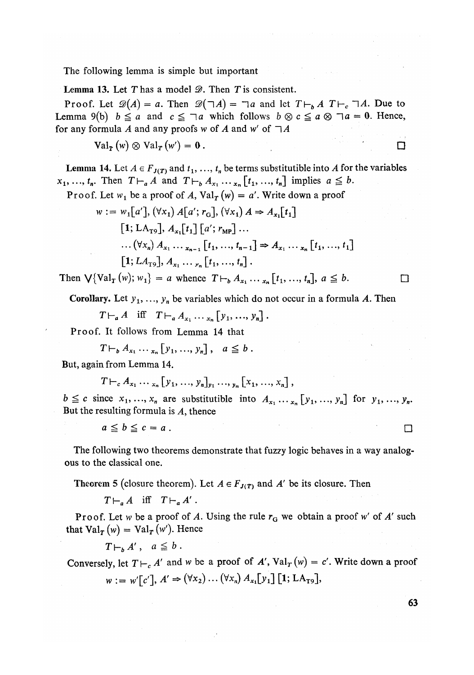The following lemma is simple but important

Lemma 13*.* Let T has a model *B.* Then T is consistent.

Proof. Let  $\mathscr{D}(A) = a$ . Then  $\mathscr{D}(\neg A) = \neg a$  and let  $T \vdash_b A T \vdash_c \neg A$ . Due to Lemma 9(b)  $b \le a$  and  $c \le \neg a$  which follows  $b \otimes c \le a \otimes \neg a = 0$ . Hence, for any formula A and any proofs w of A and w' of  $\neg A$ 

$$
\mathrm{Val}_{\mathbf{T}}(w) \otimes \mathrm{Val}_{\mathbf{T}}(w') = \mathbf{0} .
$$

**Lemma 14.** Let  $A \in F_{J(T)}$  and  $t_1, ..., t_n$  be terms substitutible into A for the variables  $x_1, ..., t_n$ . Then  $T\vdash_a A$  and  $T\vdash_b A_{x_1} \ldots_{x_n} [t_1, ..., t_n]$  implies  $a \leq b$ .

Proof. Let 
$$
w_1
$$
 be a proof of A,  $Val_T(w) = a'$ . Write down a proof

$$
w := w_1[a'], (\forall x_1) A[a'; r_G], (\forall x_1) A \Rightarrow A_{x_1}[t_1]
$$
  
\n[1; LA<sub>T9</sub>], A<sub>x\_1</sub>[t<sub>1</sub>] [a'; r<sub>MP</sub> ...  
\n...( $(\forall x_n) A_{x_1} ..._{x_{n-1}} [t_1, ..., t_{n-1}] \Rightarrow A_{x_1} ..._{x_n} [t_1, ..., t_1]$   
\n[1; LA<sub>T9</sub>], A<sub>x\_1</sub> ...<sub>x\_n</sub> [t<sub>1</sub>, ..., t<sub>n</sub>].

Then  $\sqrt{\text{Val}_T(w)}$ ;  $w_1$ } = a whence  $T \vdash_b A_{x_1} \ldots_{x_n} [t_1, ..., t_n]$ ,  $a \leq b$ .

**Corollary.** Let  $y_1, \ldots, y_n$  be variables which do not occur in a formula A. Then

 $T\vdash_{a} A$  iff  $T\vdash_{a} A_{x_{1}} \ldots x_{n} [y_{1},..., y_{n}]$ .

Proof. It follows from Lemma 14 that

 $T\vdash_b A_{x_1}\cdots_{x_n}[y_1, ..., y_n], \quad a \leq b.$ 

But, again from Lemma 14.

$$
T\vdash_c A_{x_1}\cdots_{x_n}[y_1, ..., y_n]_{y_1}\cdots_{y_n}[x_1, ..., x_n],
$$

 $b \leq c$  since  $x_1, ..., x_n$  are substitutible into  $A_{x_1}, ..., x_n$  [ $y_1, ..., y_n$ ] for  $y_1, ..., y_n$ . But the resulting formula is *A*, thence

$$
a\leq b\leq c=a.
$$

The following two theorems demonstrate that fuzzy logic behaves in a way analogous to the classical one.

**Theorem 5 (closure theorem). Let**  $A \in F_{J(T)}$  **and**  $A'$  **be its closure. Then** 

 $T\vdash_{a} A$  iff  $T\vdash_{a} A'$ .

Proof. Let w be a proof of *A.* Using the rule *rG* we obtain a proof w' of *A'* such that  $Val_T(w) = Val_T(w')$ . Hence

$$
T\vdash_b A', a\leq b.
$$

Conversely, let  $T \vdash_c A'$  and w be a proof of  $A'$ ,  $Val_T(w) = c'$ . Write down a proof  $w := w'[c'], A' \Rightarrow (\forall x_2) \dots (\forall x_n) A_{x_1}[y_1] [1; LA_{T9}],$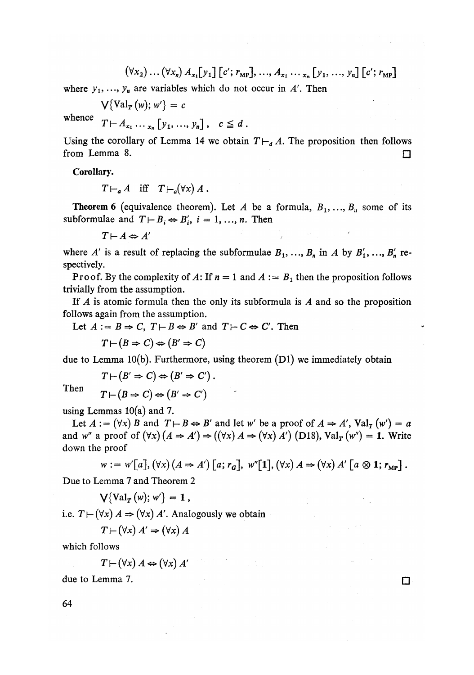$$
(\forall x_2) \dots (\forall x_n) A_{x_1} [y_1] [c'; r_{MP}], \dots, A_{x_1} \dots, r_n [y_1, \dots, y_n] [c'; r_{MP}]
$$

where  $y_1, \ldots, y_n$  are variables which do not occur in A'. Then

$$
\bigvee \{\mathrm{Val}_{\mathbf{T}}(w); w'\} = c
$$

whence  $T \vdash A$  [v. v]  $T^{T}$ <sup>1</sup><sub>*x*<sub>1</sub></sub> ...<sub>*x<sub>n</sub>*</sup>  $\lfloor y_1, ..., y_n \rfloor$ ,  $C \equiv u$ .</sub>

Using the corollary of Lemma 14 we obtain  $T \vdash_d A$ . The proposition then follows from Lemma 8.  $\Box$ 

Corollary.

$$
T\vdash_a A \quad \text{iff} \quad T\vdash_a(\forall x) A.
$$

**Theorem 6** (equivalence theorem). Let A be a formula,  $B_1, \ldots, B_n$  some of its subformulae and  $T \vdash B_i \Leftrightarrow B'_i$ ,  $i = 1, ..., n$ . Then

$$
T \vdash A \Leftrightarrow A'
$$

where A' is a result of replacing the subformulae  $B_1, \ldots, B_n$  in A by  $B'_1, \ldots, B'_n$  respectively.

**Proof.** By the complexity of A: If  $n = 1$  and  $A := B_1$  then the proposition follows trivially from the assumption.

If *A* is atomic formula then the only its subformula is *A* and so the proposition follows again from the assumption.

Let  $A := B \Rightarrow C$ ,  $T \vdash B \Leftrightarrow B'$  and  $T \vdash C \Leftrightarrow C'$ . Then

$$
T \vdash (B \Rightarrow C) \Leftrightarrow (B' \Rightarrow C)
$$

due to Lemma  $10(b)$ . Furthermore, using theorem  $(D1)$  we immediately obtain

$$
T \vdash (B' \Rightarrow C) \Leftrightarrow (B' \Rightarrow C').
$$

$$
T \vdash (B \Rightarrow C) \Leftrightarrow (B' \Rightarrow C')
$$

using Lemmas  $10(a)$  and 7.

Let  $A := (\forall x) B$  and  $T \vdash B \Leftrightarrow B'$  and let w' be a proof of  $A \Rightarrow A'$ ,  $Val_T(w') = a$ and w'' a proof of  $(\forall x)(A \Rightarrow A') \Rightarrow ((\forall x) A \Rightarrow (\forall x) A')$  (D18), Val<sub>r</sub> (w'') = 1. Write down the proof

$$
w := w'[a], (\forall x) (A \Rightarrow A') [a; r_{G}], w''[1], (\forall x) A \Rightarrow (\forall x) A' [a \otimes 1; r_{MP}].
$$

Due to Lemma 7 and Theorem 2

$$
\bigvee \{ \text{Val}_T(w); w' \} = 1,
$$

i.e.  $T \mapsto (\forall x) A \Rightarrow (\forall x) A'$ . Analogously we obtain

 $T \mapsto (\forall x) A' \Rightarrow (\forall x) A$ 

which follows

$$
T \mapsto (\forall x) A \Leftrightarrow (\forall x) A'
$$

due to Lemma 7.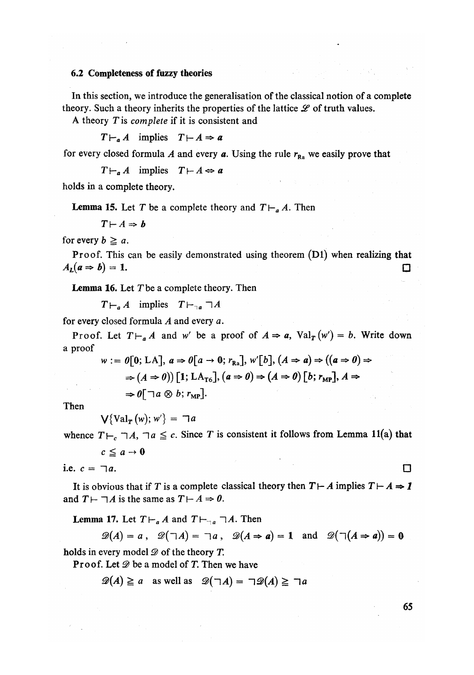## 6*.*2 Completeness of fuzzy theories

In this section, we introduce the generalisation of the classical notion of a complete theory. Such a theory inherits the properties of the lattice  $\mathscr L$  of truth values.

A theory *T* is *complete* if it is consistent and

 $T \vdash_a A$  implies  $T \vdash A \Rightarrow a$ 

for every closed formula A and every  $a$ . Using the rule  $r_{R_2}$  we easily prove that

 $T\vdash_{a} A$  implies  $T\vdash A \Leftrightarrow a$ 

holds in a complete theory.

**Lemma 15.** Let T be a complete theory and  $T\vdash_a A$ . Then

$$
T \vdash A \Rightarrow b
$$

for every  $b \geq a$ .

Proof. This can be easily demonstrated using theorem (Dl) when realizing that  $A_L(a \Rightarrow b) = 1.$ 

Lemma 16. Let *T*be a complete theory*.* Then

 $T\vdash_{a} A$  implies  $T\vdash_{\neg a} \neg A$ 

for every closed formula *A* and every *a.* 

Proof. Let  $T\vdash_a A$  and w' be a proof of  $A \Rightarrow a$ ,  $Val_T(w') = b$ . Write down a proof

$$
w := \theta[0; LA], a \Rightarrow \theta[a \rightarrow 0; r_{\text{Ra}}], w'[b], (A \Rightarrow a) \Rightarrow ((a \Rightarrow 0) \Rightarrow
$$
  

$$
\Rightarrow (A \Rightarrow 0)) [1; LA_{\text{Te}}], (a \Rightarrow 0) \Rightarrow (A \Rightarrow 0) [b; r_{\text{MP}}], A \Rightarrow
$$
  

$$
\Rightarrow \theta[\neg a \otimes b; r_{\text{MP}}].
$$

Then

 $V\{\text{Val}_T(w); w'\} = \exists a$ 

whence  $T\vdash_c \neg A$ ,  $\neg a \leq c$ . Since *T* is consistent it follows from Lemma 11(a) that

$$
c\leq a\rightarrow 0
$$

i.e.  $c = \Box a$ .

It is obvious that if *T* is a complete classical theory then  $T \vdash A$  implies  $T \vdash A \Rightarrow I$ and  $T \vdash \neg A$  is the same as  $T \vdash A \Rightarrow 0$ .

**Lemma 17.** Let  $T \vdash_{a} A$  and  $T \vdash_{\neg a} \neg A$ . Then

 $\mathscr{D}(A) = a$ ,  $\mathscr{D}(\neg A) = \neg a$ ,  $\mathscr{D}(A \Rightarrow a) = 1$  and  $\mathscr{D}(\neg (A \Rightarrow a)) = 0$ 

holds in every model *Q)* of the theory *T*.

Proof. Let *Q)* be a model of *T*. Then we have

 $\mathscr{D}(A) \ge a$  as well as  $\mathscr{D}(\neg A) = \neg \mathscr{D}(A) \ge \neg a$